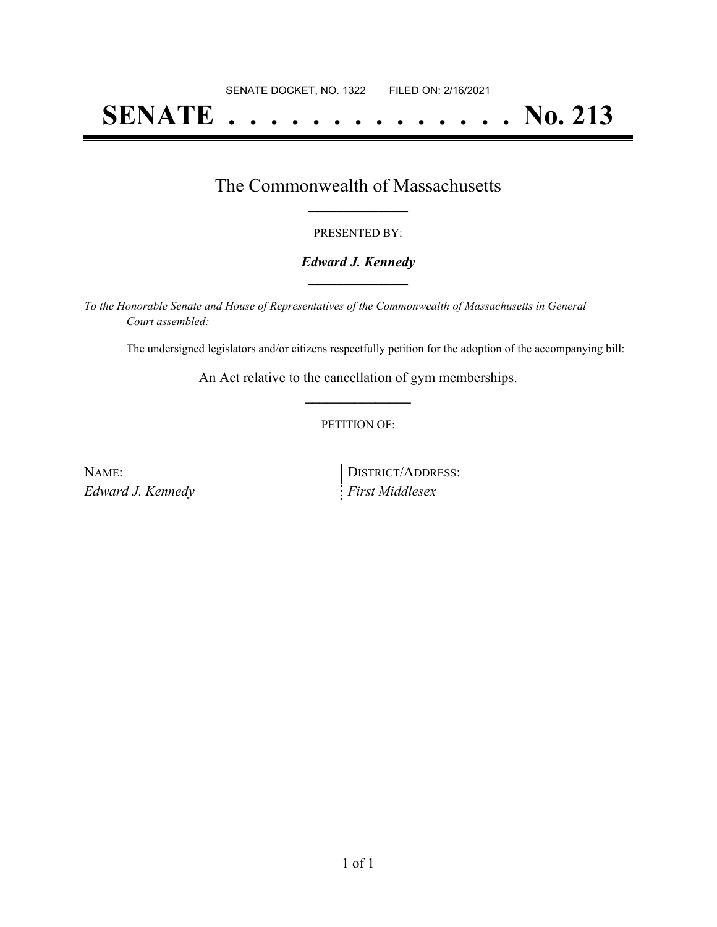# **SENATE . . . . . . . . . . . . . . No. 213**

### The Commonwealth of Massachusetts **\_\_\_\_\_\_\_\_\_\_\_\_\_\_\_\_\_**

#### PRESENTED BY:

#### *Edward J. Kennedy* **\_\_\_\_\_\_\_\_\_\_\_\_\_\_\_\_\_**

*To the Honorable Senate and House of Representatives of the Commonwealth of Massachusetts in General Court assembled:*

The undersigned legislators and/or citizens respectfully petition for the adoption of the accompanying bill:

An Act relative to the cancellation of gym memberships. **\_\_\_\_\_\_\_\_\_\_\_\_\_\_\_**

#### PETITION OF:

NAME: DISTRICT/ADDRESS: *Edward J. Kennedy First Middlesex*